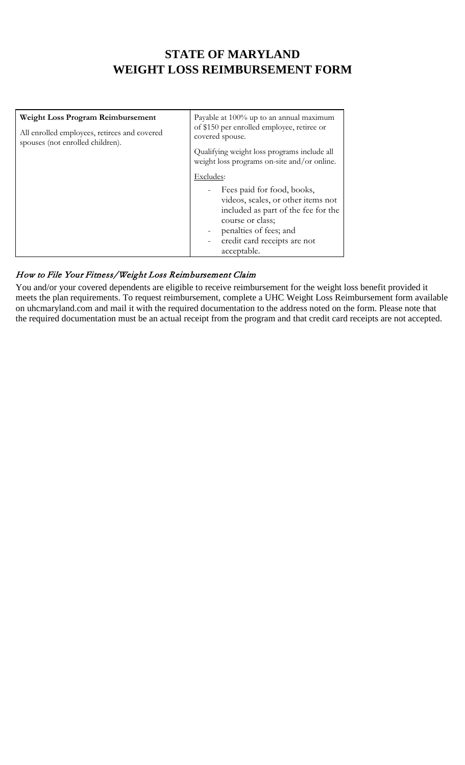## **STATE OF MARYLAND WEIGHT LOSS REIMBURSEMENT FORM**

| Weight Loss Program Reimbursement<br>All enrolled employees, retirees and covered<br>spouses (not enrolled children). | Payable at 100% up to an annual maximum<br>of \$150 per enrolled employee, retiree or<br>covered spouse.<br>Qualifying weight loss programs include all<br>weight loss programs on-site and/or online.<br>Excludes: |  |
|-----------------------------------------------------------------------------------------------------------------------|---------------------------------------------------------------------------------------------------------------------------------------------------------------------------------------------------------------------|--|
|                                                                                                                       | Fees paid for food, books,<br>videos, scales, or other items not<br>included as part of the fee for the<br>course or class;<br>penalties of fees; and<br>credit card receipts are not<br>acceptable.                |  |

## How to File Your Fitness/Weight Loss Reimbursement Claim

You and/or your covered dependents are eligible to receive reimbursement for the weight loss benefit provided it meets the plan requirements. To request reimbursement, complete a UHC Weight Loss Reimbursement form available on uhcmaryland.com and mail it with the required documentation to the address noted on the form. Please note that the required documentation must be an actual receipt from the program and that credit card receipts are not accepted.